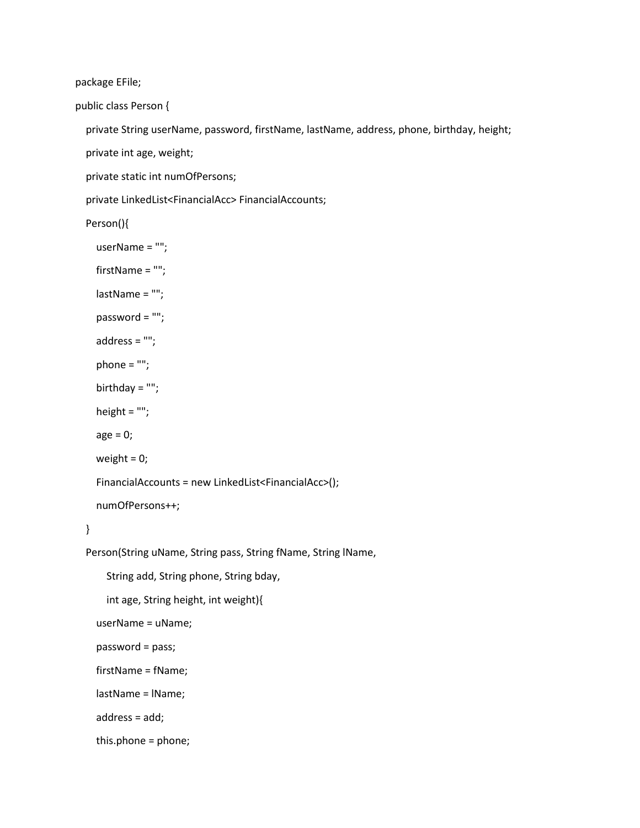package EFile;

public class Person {

private String userName, password, firstName, lastName, address, phone, birthday, height;

private int age, weight;

private static int numOfPersons;

private LinkedList<FinancialAcc> FinancialAccounts;

Person(){

```
 userName = "";
  firstName = "";
  lastName = "";
  password = "";
  address = "";
 phone = ";
  birthday = "";
  height = "";
 age = 0;weight = 0;
  FinancialAccounts = new LinkedList<FinancialAcc>();
  numOfPersons++;
Person(String uName, String pass, String fName, String lName, 
    String add, String phone, String bday, 
    int age, String height, int weight){
  userName = uName;
```
password = pass;

}

firstName = fName;

lastName = lName;

address = add;

this.phone = phone;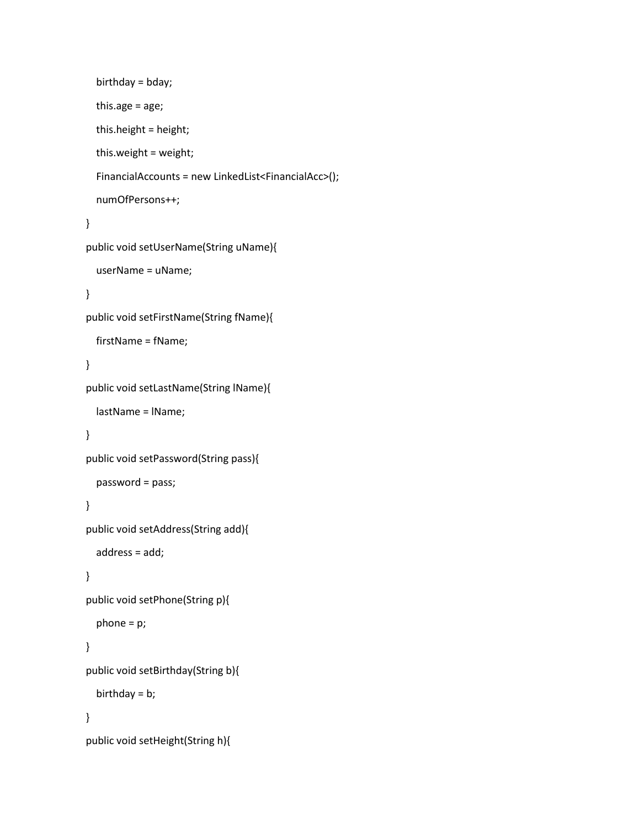```
 birthday = bday;
  this.age = age;
  this.height = height;
  this.weight = weight;
  FinancialAccounts = new LinkedList<FinancialAcc>();
  numOfPersons++;
} 
public void setUserName(String uName){
  userName = uName;
}
public void setFirstName(String fName){
  firstName = fName;
} 
public void setLastName(String lName){
  lastName = lName;
} 
public void setPassword(String pass){
  password = pass;
} 
public void setAddress(String add){
  address = add;
} 
public void setPhone(String p){
  phone = p;
} 
public void setBirthday(String b){
  birthday = b;
}
public void setHeight(String h){
```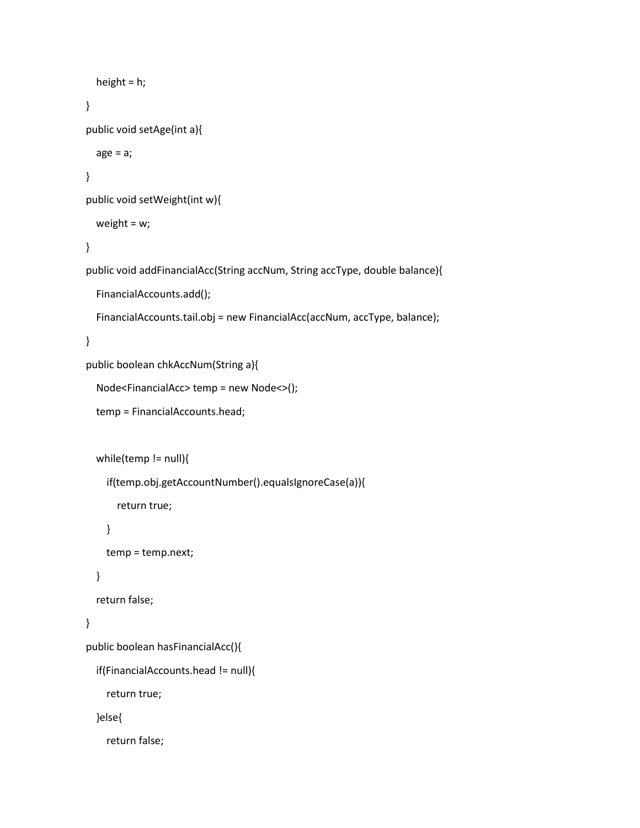```
 height = h;
} 
public void setAge(int a){
 age = a; } 
public void setWeight(int w){
  weight = w;
} 
public void addFinancialAcc(String accNum, String accType, double balance){
  FinancialAccounts.add();
  FinancialAccounts.tail.obj = new FinancialAcc(accNum, accType, balance);
} 
public boolean chkAccNum(String a){
  Node<FinancialAcc> temp = new Node<>();
  temp = FinancialAccounts.head;
  while(temp != null){
    if(temp.obj.getAccountNumber().equalsIgnoreCase(a)){
      return true;
    }
    temp = temp.next;
  }
  return false;
} 
public boolean hasFinancialAcc(){
  if(FinancialAccounts.head != null){
    return true;
  }else{
    return false;
```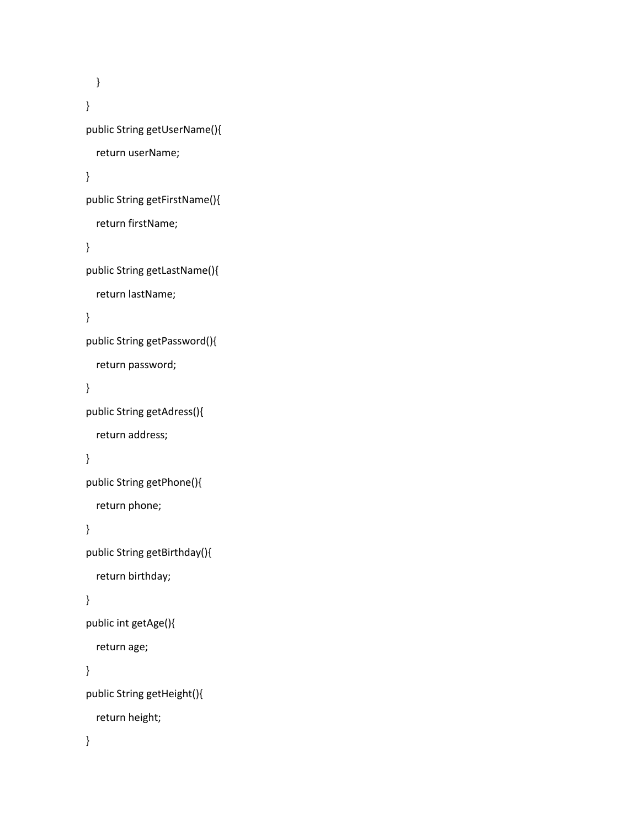```
 }
} 
public String getUserName(){
  return userName;
}
public String getFirstName(){
  return firstName;
} 
public String getLastName(){
  return lastName;
} 
public String getPassword(){
  return password;
} 
public String getAdress(){
  return address;
}
public String getPhone(){
  return phone;
}
public String getBirthday(){
  return birthday;
} 
public int getAge(){
  return age;
} 
public String getHeight(){
  return height;
}
```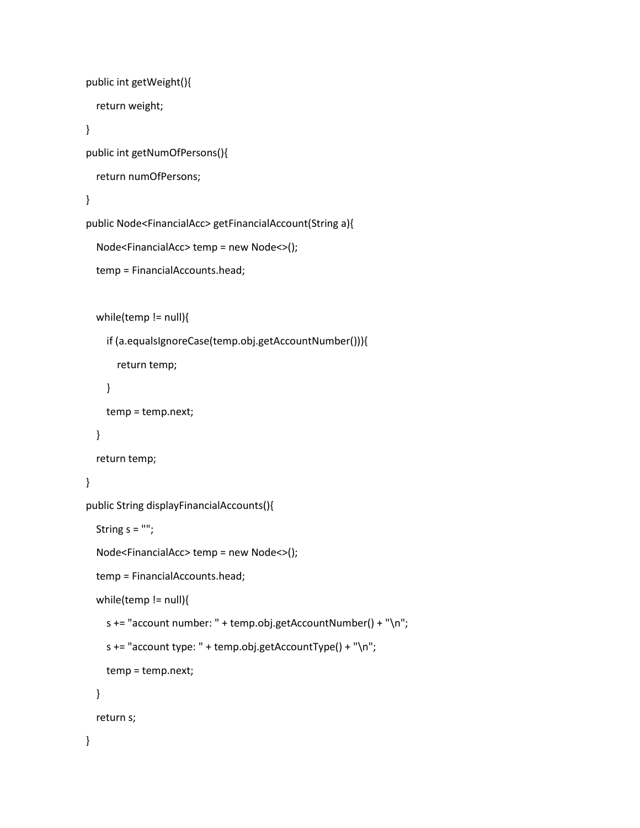```
 public int getWeight(){
  return weight;
} 
public int getNumOfPersons(){
  return numOfPersons;
} 
public Node<FinancialAcc> getFinancialAccount(String a){
  Node<FinancialAcc> temp = new Node<>();
  temp = FinancialAccounts.head;
 while(temp != null){
    if (a.equalsIgnoreCase(temp.obj.getAccountNumber())){
      return temp;
    }
    temp = temp.next;
  }
  return temp;
} 
public String displayFinancialAccounts(){
 String s = "";
  Node<FinancialAcc> temp = new Node<>();
  temp = FinancialAccounts.head;
 while(temp != null){
    s += "account number: " + temp.obj.getAccountNumber() + "\n";
   s += "account type: " + temp.obj.getAccountType() + "\n\rightharpoonupn";
    temp = temp.next;
  }
  return s;
}
```